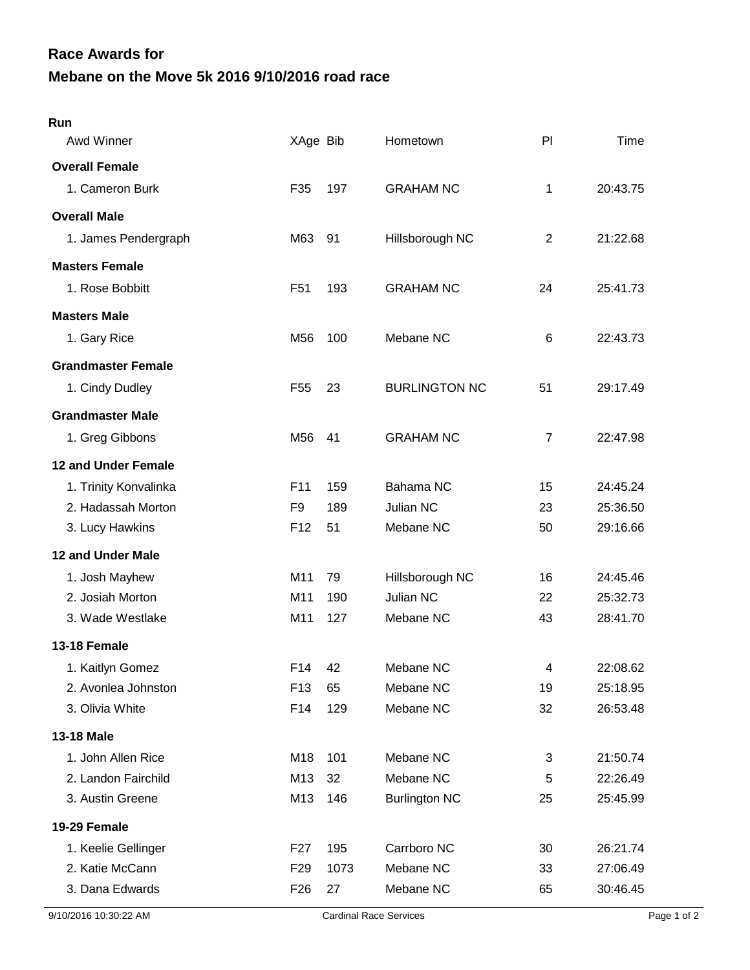## **Mebane on the Move 5k 2016 9/10/2016 road race Race Awards for**

| Run                       |                 |      |                      |                         |          |
|---------------------------|-----------------|------|----------------------|-------------------------|----------|
| Awd Winner                | XAge Bib        |      | Hometown             | PI                      | Time     |
| <b>Overall Female</b>     |                 |      |                      |                         |          |
| 1. Cameron Burk           | F35             | 197  | <b>GRAHAM NC</b>     | 1                       | 20:43.75 |
| <b>Overall Male</b>       |                 |      |                      |                         |          |
| 1. James Pendergraph      | M63             | 91   | Hillsborough NC      | 2                       | 21:22.68 |
| <b>Masters Female</b>     |                 |      |                      |                         |          |
| 1. Rose Bobbitt           | F <sub>51</sub> | 193  | <b>GRAHAM NC</b>     | 24                      | 25:41.73 |
| <b>Masters Male</b>       |                 |      |                      |                         |          |
| 1. Gary Rice              | M <sub>56</sub> | 100  | Mebane NC            | 6                       | 22:43.73 |
| <b>Grandmaster Female</b> |                 |      |                      |                         |          |
| 1. Cindy Dudley           | F <sub>55</sub> | 23   | <b>BURLINGTON NC</b> | 51                      | 29:17.49 |
| <b>Grandmaster Male</b>   |                 |      |                      |                         |          |
| 1. Greg Gibbons           | M56             | 41   | <b>GRAHAM NC</b>     | $\overline{7}$          | 22:47.98 |
| 12 and Under Female       |                 |      |                      |                         |          |
| 1. Trinity Konvalinka     | F <sub>11</sub> | 159  | Bahama NC            | 15                      | 24:45.24 |
| 2. Hadassah Morton        | F <sub>9</sub>  | 189  | <b>Julian NC</b>     | 23                      | 25:36.50 |
| 3. Lucy Hawkins           | F <sub>12</sub> | 51   | Mebane NC            | 50                      | 29:16.66 |
| 12 and Under Male         |                 |      |                      |                         |          |
| 1. Josh Mayhew            | M11             | 79   | Hillsborough NC      | 16                      | 24:45.46 |
| 2. Josiah Morton          | M11             | 190  | Julian NC            | 22                      | 25:32.73 |
| 3. Wade Westlake          | M11             | 127  | Mebane NC            | 43                      | 28:41.70 |
| 13-18 Female              |                 |      |                      |                         |          |
| 1. Kaitlyn Gomez          | F14             | 42   | Mebane NC            | $\overline{\mathbf{4}}$ | 22:08.62 |
| 2. Avonlea Johnston       | F <sub>13</sub> | 65   | Mebane NC            | 19                      | 25:18.95 |
| 3. Olivia White           | F14             | 129  | Mebane NC            | 32                      | 26:53.48 |
| 13-18 Male                |                 |      |                      |                         |          |
| 1. John Allen Rice        | M18             | 101  | Mebane NC            | 3                       | 21:50.74 |
| 2. Landon Fairchild       | M13             | 32   | Mebane NC            | 5                       | 22:26.49 |
| 3. Austin Greene          | M13             | 146  | <b>Burlington NC</b> | 25                      | 25:45.99 |
| 19-29 Female              |                 |      |                      |                         |          |
| 1. Keelie Gellinger       | F <sub>27</sub> | 195  | Carrboro NC          | 30                      | 26:21.74 |
| 2. Katie McCann           | F <sub>29</sub> | 1073 | Mebane NC            | 33                      | 27:06.49 |
| 3. Dana Edwards           | F <sub>26</sub> | 27   | Mebane NC            | 65                      | 30:46.45 |
|                           |                 |      |                      |                         |          |